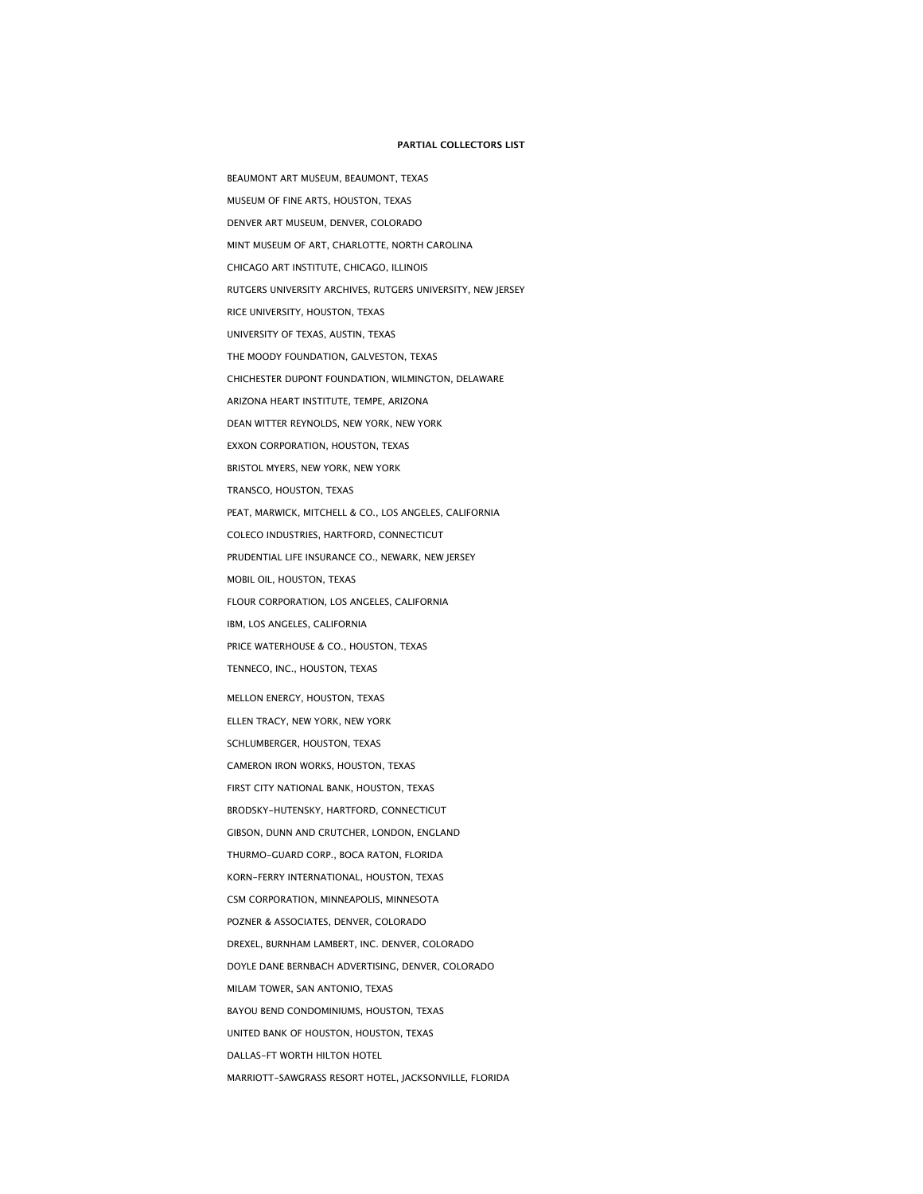## **PARTIAL COLLECTORS LIST**

BEAUMONT ART MUSEUM, BEAUMONT, TEXAS MUSEUM OF FINE ARTS, HOUSTON, TEXAS DENVER ART MUSEUM, DENVER, COLORADO MINT MUSEUM OF ART, CHARLOTTE, NORTH CAROLINA CHICAGO ART INSTITUTE, CHICAGO, ILLINOIS RUTGERS UNIVERSITY ARCHIVES, RUTGERS UNIVERSITY, NEW JERSEY RICE UNIVERSITY, HOUSTON, TEXAS UNIVERSITY OF TEXAS, AUSTIN, TEXAS THE MOODY FOUNDATION, GALVESTON, TEXAS CHICHESTER DUPONT FOUNDATION, WILMINGTON, DELAWARE ARIZONA HEART INSTITUTE, TEMPE, ARIZONA DEAN WITTER REYNOLDS, NEW YORK, NEW YORK EXXON CORPORATION, HOUSTON, TEXAS BRISTOL MYERS, NEW YORK, NEW YORK TRANSCO, HOUSTON, TEXAS PEAT, MARWICK, MITCHELL & CO., LOS ANGELES, CALIFORNIA COLECO INDUSTRIES, HARTFORD, CONNECTICUT PRUDENTIAL LIFE INSURANCE CO., NEWARK, NEW JERSEY MOBIL OIL, HOUSTON, TEXAS FLOUR CORPORATION, LOS ANGELES, CALIFORNIA IBM, LOS ANGELES, CALIFORNIA PRICE WATERHOUSE & CO., HOUSTON, TEXAS TENNECO, INC., HOUSTON, TEXAS MELLON ENERGY, HOUSTON, TEXAS ELLEN TRACY, NEW YORK, NEW YORK SCHLUMBERGER, HOUSTON, TEXAS CAMERON IRON WORKS, HOUSTON, TEXAS FIRST CITY NATIONAL BANK, HOUSTON, TEXAS BRODSKY-HUTENSKY, HARTFORD, CONNECTICUT GIBSON, DUNN AND CRUTCHER, LONDON, ENGLAND THURMO-GUARD CORP., BOCA RATON, FLORIDA KORN-FERRY INTERNATIONAL, HOUSTON, TEXAS CSM CORPORATION, MINNEAPOLIS, MINNESOTA POZNER & ASSOCIATES, DENVER, COLORADO DREXEL, BURNHAM LAMBERT, INC. DENVER, COLORADO DOYLE DANE BERNBACH ADVERTISING, DENVER, COLORADO MILAM TOWER, SAN ANTONIO, TEXAS BAYOU BEND CONDOMINIUMS, HOUSTON, TEXAS UNITED BANK OF HOUSTON, HOUSTON, TEXAS DALLAS-FT WORTH HILTON HOTEL MARRIOTT-SAWGRASS RESORT HOTEL, JACKSONVILLE, FLORIDA